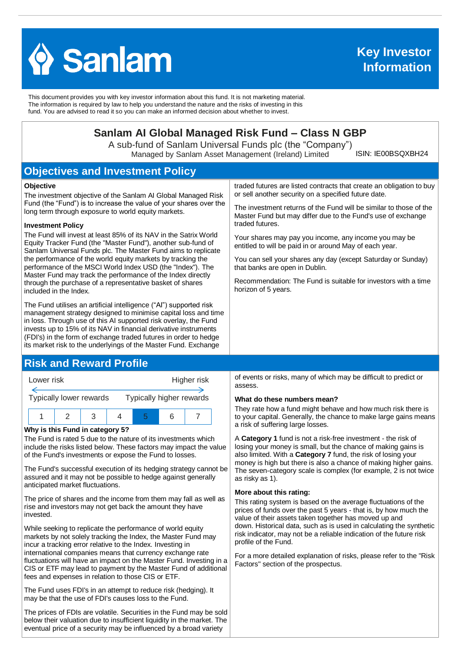

This document provides you with key investor information about this fund. It is not marketing material. The information is required by law to help you understand the nature and the risks of investing in this fund. You are advised to read it so you can make an informed decision about whether to invest.

## **Sanlam AI Global Managed Risk Fund – Class N GBP**

A sub-fund of Sanlam Universal Funds plc (the "Company") Managed by Sanlam Asset Management (Ireland) Limited

ISIN: IE00BSQXBH24

# **Objectives and Investment Policy**

#### **Objective**

The investment objective of the Sanlam AI Global Managed Risk Fund (the "Fund") is to increase the value of your shares over the long term through exposure to world equity markets.

#### **Investment Policy**

The Fund will invest at least 85% of its NAV in the Satrix World Equity Tracker Fund (the "Master Fund"), another sub-fund of Sanlam Universal Funds plc. The Master Fund aims to replicate the performance of the world equity markets by tracking the performance of the MSCI World Index USD (the "Index"). The Master Fund may track the performance of the Index directly through the purchase of a representative basket of shares included in the Index.

The Fund utilises an artificial intelligence ("AI") supported risk management strategy designed to minimise capital loss and time in loss. Through use of this AI supported risk overlay, the Fund invests up to 15% of its NAV in financial derivative instruments (FDI's) in the form of exchange traded futures in order to hedge its market risk to the underlyings of the Master Fund. Exchange

### **Risk and Reward Profile**



#### **Why is this Fund in category 5?**

The Fund is rated 5 due to the nature of its investments which include the risks listed below. These factors may impact the value of the Fund's investments or expose the Fund to losses.

The Fund's successful execution of its hedging strategy cannot be assured and it may not be possible to hedge against generally anticipated market fluctuations.

The price of shares and the income from them may fall as well as rise and investors may not get back the amount they have invested.

While seeking to replicate the performance of world equity markets by not solely tracking the Index, the Master Fund may incur a tracking error relative to the Index. Investing in international companies means that currency exchange rate fluctuations will have an impact on the Master Fund. Investing in a CIS or ETF may lead to payment by the Master Fund of additional fees and expenses in relation to those CIS or ETF.

The Fund uses FDI's in an attempt to reduce risk (hedging). It may be that the use of FDI's causes loss to the Fund.

The prices of FDIs are volatile. Securities in the Fund may be sold below their valuation due to insufficient liquidity in the market. The eventual price of a security may be influenced by a broad variety

traded futures are listed contracts that create an obligation to buy or sell another security on a specified future date.

The investment returns of the Fund will be similar to those of the Master Fund but may differ due to the Fund's use of exchange traded futures.

Your shares may pay you income, any income you may be entitled to will be paid in or around May of each year.

You can sell your shares any day (except Saturday or Sunday) that banks are open in Dublin.

Recommendation: The Fund is suitable for investors with a time horizon of 5 years.

of events or risks, many of which may be difficult to predict or assess.

#### **What do these numbers mean?**

They rate how a fund might behave and how much risk there is to your capital. Generally, the chance to make large gains means a risk of suffering large losses.

A **Category 1** fund is not a risk-free investment - the risk of losing your money is small, but the chance of making gains is also limited. With a **Category 7** fund, the risk of losing your money is high but there is also a chance of making higher gains. The seven-category scale is complex (for example, 2 is not twice as risky as 1).

#### **More about this rating:**

This rating system is based on the average fluctuations of the prices of funds over the past 5 years - that is, by how much the value of their assets taken together has moved up and down. Historical data, such as is used in calculating the synthetic risk indicator, may not be a reliable indication of the future risk profile of the Fund.

For a more detailed explanation of risks, please refer to the ''Risk Factors'' section of the prospectus.